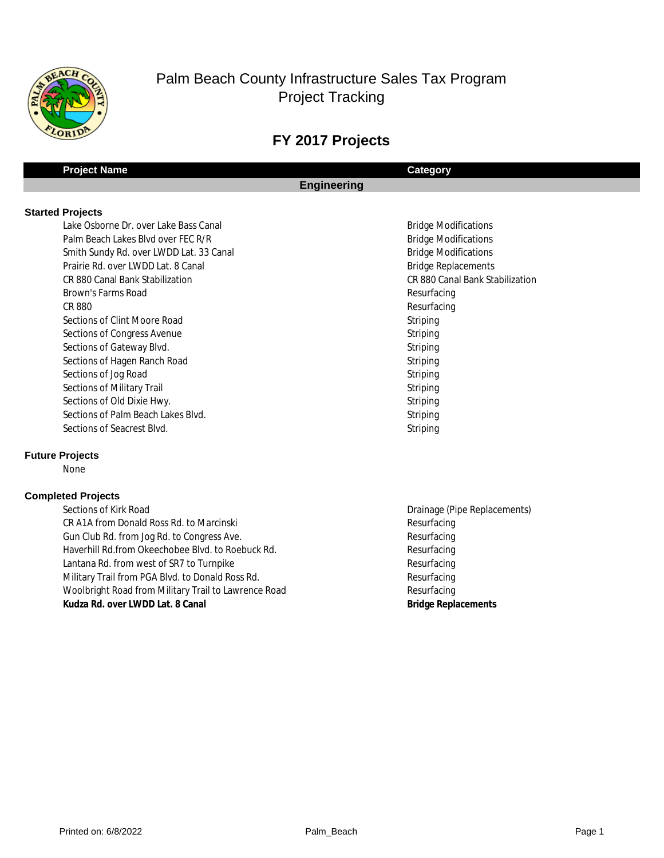

## **FY 2017 Projects**

## **Project Name Category Engineering**

#### **Started Projects**

Lake Osborne Dr. over Lake Bass Canal Bridge Modifications and Bridge Modifications Palm Beach Lakes Blvd over FEC R/R Bridge Modifications and Bridge Modifications 1521 Smith Sundy Rd. over LWDD Lat. 33 Canal Bridge Modifications and Bridge Modifications Prairie Rd. over LWDD Lat. 8 Canal **Bridge Replacements** Bridge Replacements 1448 CR 880 Canal Bank Stabilization CR 880 Canal Bank Stabilization **1540 Brown's Farms Road Resurfacing** Resurfacing Late Resurfacing Resurfacing 1539 CR 880 Resurfacing 1547 Sections of Clint Moore Road Striping **1543** Sections of Congress Avenue Striping **1544 Sections of Gateway Blvd.** Striping **1548 Sections of Hagen Ranch Road Striping** Striping **1537 Sections of Jog Road Striping** Striping **1541 Sections of Military Trail Striping** Striping 1546 Sections of Old Dixie Hwy. Striping Sections of Palm Beach Lakes Blvd. Striping Sections of Palm Beach Lakes Blvd. **1545 Sections of Seacrest Blvd. Striping** Striping

#### **Future Projects**

None

#### **Completed Projects**

1536 Sections of Kirk Road 2008 Sections of Kirk Road Drainage (Pipe Replacements) 1538 CR A1A from Donald Ross Rd. to Marcinski Resurfacing Resurfacing Gun Club Rd. from Jog Rd. to Congress Ave. **Resurfacing** Resurfacing 1534 Haverhill Rd.from Okeechobee Blvd. to Roebuck Rd. Resurfacing Lantana Rd. from west of SR7 to Turnpike **Resurfacing** Resurfacing 1531 Military Trail from PGA Blvd. to Donald Ross Rd. Resurfacing Resurfacing Woolbright Road from Military Trail to Lawrence Road Resurfacing 1520 **Kudza Rd. over LWDD Lat. 8 Canal Bridge Replacements**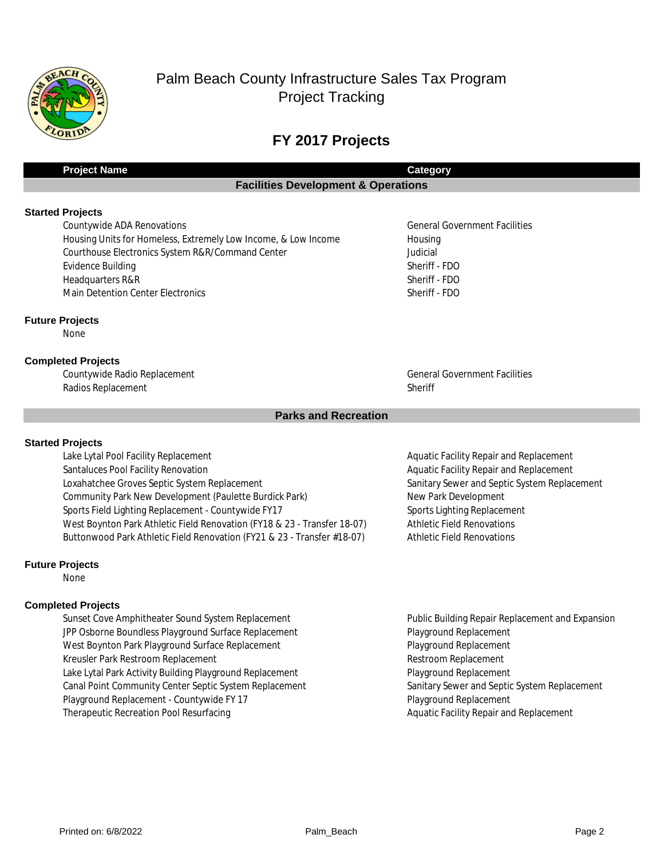

## **FY 2017 Projects**

| Project Name | Category                                       |
|--------------|------------------------------------------------|
|              | <b>Facilities Development &amp; Operations</b> |
|              |                                                |

#### **Started Projects**

**1752** Countywide ADA Renovations General Government Facilities General Government Facilities Housing Units for Homeless, Extremely Low Income, & Low Income Housing Courthouse Electronics System R&R/Command Center Judicial Judicial **14218 Evidence Building Sheriff - FDO** 11206 Headquarters R&R Sheriff - FDO 15218 Main Detention Center Electronics Sheriff - FDO

#### **Future Projects**

None

#### **Completed Projects**

Countywide Radio Replacement **Countywide Radio Replacement** General Government Facilities Radios Replacement Sheriff

#### **Parks and Recreation**

#### **Started Projects**

Lake Lytal Pool Facility Replacement **Accord Pool Facility Repair and Replacement** Aquatic Facility Repair and Replacement Santaluces Pool Facility Renovation **Accord Accord Accord Aquatic Facility Repair and Replacement** Loxahatchee Groves Septic System Replacement Sanitary Sewer and Septic System Replacement 1823 Community Park New Development (Paulette Burdick Park) New Park Development Sports Field Lighting Replacement - Countywide FY17 Sports Lighting Replacement West Boynton Park Athletic Field Renovation (FY18 & 23 - Transfer 18-07) Athletic Field Renovations Buttonwood Park Athletic Field Renovation (FY21 & 23 - Transfer #18-07) Athletic Field Renovations

#### **Future Projects**

None

#### **Completed Projects**

17466 Sunset Cove Amphitheater Sound System Replacement Public Building Repair Replacement and Expansion JPP Osborne Boundless Playground Surface Replacement Playground Replacement West Boynton Park Playground Surface Replacement **Playground Replacement** Playground Replacement 14204 Kreusler Park Restroom Replacement Restroom Replacement Lake Lytal Park Activity Building Playground Replacement **Playground Replacement** Playground Replacement 18463 Canal Point Community Center Septic System Replacement Sanitary Sewer and Septic System Replacement Playground Replacement - Countywide FY 17 Playground Replacement Therapeutic Recreation Pool Resurfacing Aquatic Facility Repair and Replacement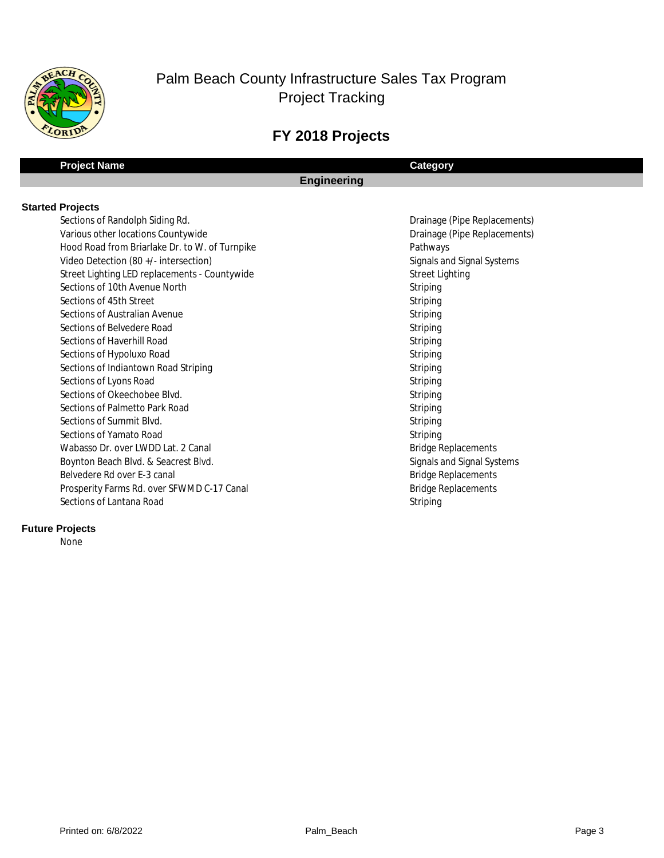

## **FY 2018 Projects**

## **Project Name Category**

## **Engineering**

#### **Started Projects**

159 Sections of Randolph Siding Rd. 2008 and 2009 Sections of Randolph Siding Rd. 2009 and 2009 Sections of Randolph Siding Rd. Various other locations Countywide **Drainage (Pipe Replacements)** Drainage (Pipe Replacements) 1561 Hood Road from Briarlake Dr. to W. of Turnpike Pathways 1580 Video Detection (80 +/- intersection) Signals and Signal Systems Signals and Signal Systems 1581 Street Lighting LED replacements - Countywide Street Lighting Street Lighting **1610 Sections of 10th Avenue North Striping 1611 Sections of 45th Street Striping** Striping **1607 Sections of Australian Avenue Striping 1599 Sections of Belvedere Road Striping** Striping **1598 Sections of Haverhill Road** Striping 1606 Sections of Hypoluxo Road Striping Striping Striping Striping Striping Striping Striping Striping Striping Striping Striping Striping Striping Striping Striping Striping Striping Striping Striping Striping Striping St Sections of Indiantown Road Striping Striping Striping Striping Striping Striping Striping Striping 1597 Sections of Lyons Road Striping **1609 Sections of Okeechobee Blvd.** Striping 1605 Sections of Palmetto Park Road Striping Striping Striping Striping Striping **1653 Sections of Summit Blvd.** Striping **1603** Sections of Yamato Road Striping Striping Striping Striping Striping Striping Striping Striping Striping Striping Striping Striping Striping Striping Striping Striping Striping Striping Striping Striping Striping St Wabasso Dr. over LWDD Lat. 2 Canal Bridge Replacements and Bridge Replacements 1578 Boynton Beach Blvd. & Seacrest Blvd. Signals and Signal Systems and Signal Systems Belvedere Rd over E-3 canal and a state of the state of the Bridge Replacements Bridge Replacements Prosperity Farms Rd. over SFWMD C-17 Canal and Bridge Replacements **1608 Sections of Lantana Road Striping** Sections of Lantana Road Striping

#### **Future Projects**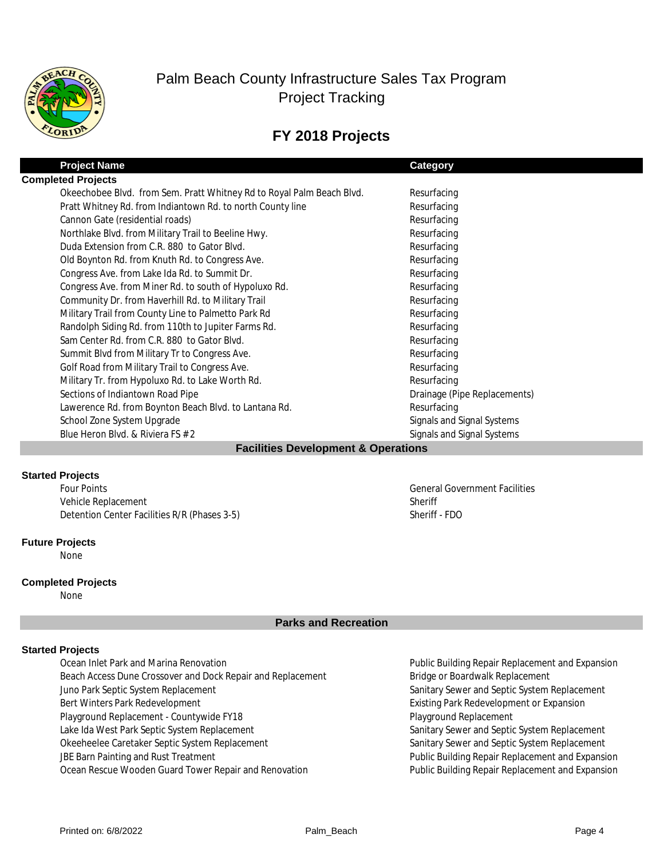

## **FY 2018 Projects**

| <b>Project Name</b>                                                   | Category                     |  |  |
|-----------------------------------------------------------------------|------------------------------|--|--|
| <b>Completed Projects</b>                                             |                              |  |  |
| Okeechobee Blvd. from Sem. Pratt Whitney Rd to Royal Palm Beach Blvd. | Resurfacing                  |  |  |
| Pratt Whitney Rd. from Indiantown Rd. to north County line            | Resurfacing                  |  |  |
| Cannon Gate (residential roads)                                       | Resurfacing                  |  |  |
| Northlake Blvd. from Military Trail to Beeline Hwy.                   | Resurfacing                  |  |  |
| Duda Extension from C.R. 880 to Gator Blvd.                           | Resurfacing                  |  |  |
| Old Boynton Rd. from Knuth Rd. to Congress Ave.                       | Resurfacing                  |  |  |
| Congress Ave. from Lake Ida Rd. to Summit Dr.                         | Resurfacing                  |  |  |
| Congress Ave. from Miner Rd. to south of Hypoluxo Rd.                 | Resurfacing                  |  |  |
| Community Dr. from Haverhill Rd. to Military Trail                    | Resurfacing                  |  |  |
| Military Trail from County Line to Palmetto Park Rd                   | Resurfacing                  |  |  |
| Randolph Siding Rd. from 110th to Jupiter Farms Rd.                   | Resurfacing                  |  |  |
| Sam Center Rd. from C.R. 880 to Gator Blyd.                           | Resurfacing                  |  |  |
| Summit Blvd from Military Tr to Congress Ave.                         | Resurfacing                  |  |  |
| Golf Road from Military Trail to Congress Ave.                        | Resurfacing                  |  |  |
| Military Tr. from Hypoluxo Rd. to Lake Worth Rd.                      | Resurfacing                  |  |  |
| Sections of Indiantown Road Pipe                                      | Drainage (Pipe Replacements) |  |  |
| Lawerence Rd. from Boynton Beach Blvd. to Lantana Rd.                 | Resurfacing                  |  |  |
| School Zone System Upgrade                                            | Signals and Signal Systems   |  |  |
| Blue Heron Blvd. & Riviera FS # 2                                     | Signals and Signal Systems   |  |  |
| <b>Facilities Development &amp; Operations</b>                        |                              |  |  |

#### **Started Projects**

Vehicle Replacement Detention Center Facilities R/R (Phases 3-5) Sheriff - FDO Four Points General Government Facilities

#### **Future Projects**

None

#### **Completed Projects**

None

## **Parks and Recreation**

Sheriff

#### **Started Projects**

13367 Ocean Inlet Park and Marina Renovation Public Building Repair Replacement and Expansion Beach Access Dune Crossover and Dock Repair and Replacement Bridge or Boardwalk Replacement Juno Park Septic System Replacement Sanitary Sewer and Septic System Replacement Sanitary Sewer and Septic System Replacement Bert Winters Park Redevelopment **Existing Park Redevelopment or Expansion** Playground Replacement - Countywide FY18 Playground Replacement Lake Ida West Park Septic System Replacement Sanitary Sewer and Septic System Replacement Okeeheelee Caretaker Septic System Replacement Sanitary Sewer and Septic System Replacement JBE Barn Painting and Rust Treatment **Public Building Repair Replacement and Expansion** Ocean Rescue Wooden Guard Tower Repair and Renovation **Public Building Repair Replacement and Expansion**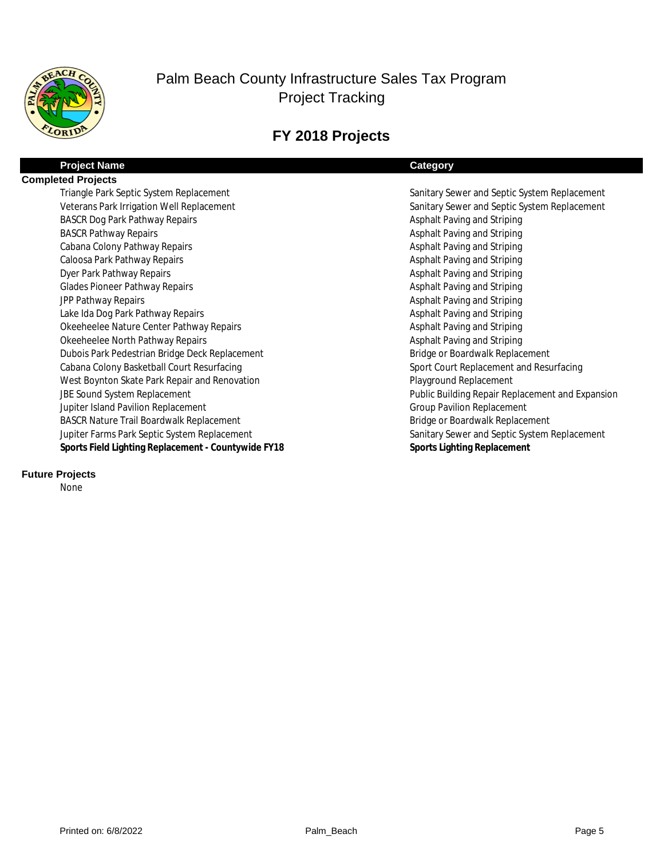

# **FY 2018 Projects**

| <b>Project Name</b>                                 | <b>Category</b>                                  |
|-----------------------------------------------------|--------------------------------------------------|
| <b>Completed Projects</b>                           |                                                  |
| Triangle Park Septic System Replacement             | Sanitary Sewer and Septic System Replacement     |
| Veterans Park Irrigation Well Replacement           | Sanitary Sewer and Septic System Replacement     |
| <b>BASCR Dog Park Pathway Repairs</b>               | Asphalt Paving and Striping                      |
| <b>BASCR Pathway Repairs</b>                        | Asphalt Paving and Striping                      |
| Cabana Colony Pathway Repairs                       | Asphalt Paving and Striping                      |
| Caloosa Park Pathway Repairs                        | Asphalt Paving and Striping                      |
| Dyer Park Pathway Repairs                           | Asphalt Paving and Striping                      |
| <b>Glades Pioneer Pathway Repairs</b>               | Asphalt Paving and Striping                      |
| JPP Pathway Repairs                                 | Asphalt Paving and Striping                      |
| Lake Ida Dog Park Pathway Repairs                   | Asphalt Paving and Striping                      |
| Okeeheelee Nature Center Pathway Repairs            | Asphalt Paving and Striping                      |
| Okeeheelee North Pathway Repairs                    | Asphalt Paving and Striping                      |
| Dubois Park Pedestrian Bridge Deck Replacement      | Bridge or Boardwalk Replacement                  |
| Cabana Colony Basketball Court Resurfacing          | Sport Court Replacement and Resurfacing          |
| West Boynton Skate Park Repair and Renovation       | Playground Replacement                           |
| JBE Sound System Replacement                        | Public Building Repair Replacement and Expansion |
| Jupiter Island Pavilion Replacement                 | <b>Group Pavilion Replacement</b>                |
| <b>BASCR Nature Trail Boardwalk Replacement</b>     | Bridge or Boardwalk Replacement                  |
| Jupiter Farms Park Septic System Replacement        | Sanitary Sewer and Septic System Replacement     |
| Sports Field Lighting Replacement - Countywide FY18 | Sports Lighting Replacement                      |
|                                                     |                                                  |

## **Future Projects**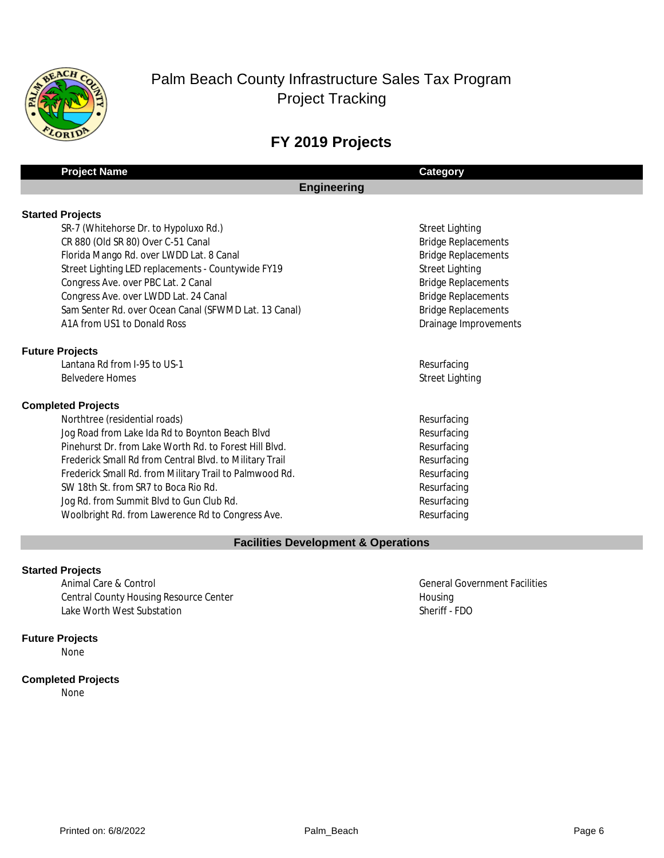

# **FY 2019 Projects**

## **Project Name Category**

## **Engineering**

SR-7 (Whitehorse Dr. to Hypoluxo Rd.) Street Lighting Street Lighting 1612 CR 880 (Old SR 80) Over C-51 Canal Bridge Replacements Florida Mango Rd. over LWDD Lat. 8 Canal Bridge Replacements and Bridge Replacements 1628 Street Lighting LED replacements - Countywide FY19 Street Lighting Street Lighting Congress Ave. over PBC Lat. 2 Canal Bridge Replacements Congress Ave. over PBC Lat. 2 Canal Bridge Replacements **1616** Congress Ave. over LWDD Lat. 24 Canal Bridge Replacements **Bridge Replacements** 1615 Sam Senter Rd. over Ocean Canal (SFWMD Lat. 13 Canal) Bridge Replacements A1A from US1 to Donald Ross **Draining and Training Construction** Drainage Improvements

## **Future Projects**

1620 Lantana Rd from I-95 to US-1 Resurfacing Services and the service of the services of the Resurfacing 1628 Belvedere Homes Street Lighting Street Lighting Street Lighting Street Lighting Street Lighting Street Lighting

## **Completed Projects**

net all the test of the test of the test of the test of the test of the test of the test of the test of the test of the test of the test of the test of the test of the test of the test of the test of the test of the test o Jog Road from Lake Ida Rd to Boynton Beach Blvd Resurfacing Pinehurst Dr. from Lake Worth Rd. to Forest Hill Blvd. Resurfacing Frederick Small Rd from Central Blvd. to Military Trail Resurfacing Frederick Small Rd. from Military Trail to Palmwood Rd. Resurfacing SW 18th St. from SR7 to Boca Rio Rd. Resurfacing Jog Rd. from Summit Blvd to Gun Club Rd. Resurfacing Woolbright Rd. from Lawerence Rd to Congress Ave. Resurfacing

## **Facilities Development & Operations**

## **Started Projects**

Animal Care & Control General Government Facilities **Control General Government Facilities** Central County Housing Resource Center **Housing Accompany** Housing Housing B607 Lake Worth West Substation Sheriff - FDO

#### **Future Projects**

None

## **Completed Projects**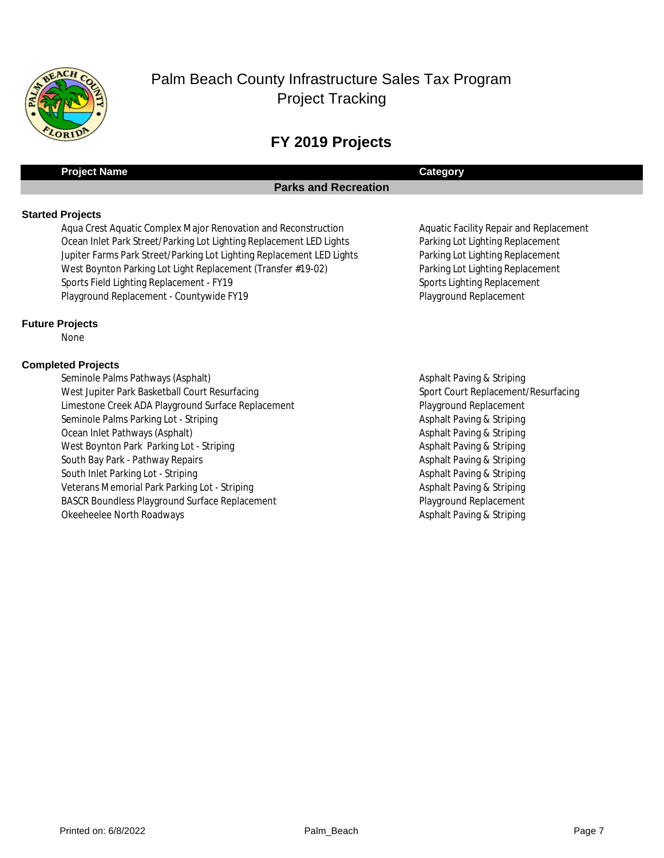

# **FY 2019 Projects**

## **Project Name Category**

## **Parks and Recreation**

#### **Started Projects**

Aqua Crest Aquatic Complex Major Renovation and Reconstruction Aquatic Facility Repair and Replacement Ocean Inlet Park Street/Parking Lot Lighting Replacement LED Lights Parking Lot Lighting Replacement Jupiter Farms Park Street/Parking Lot Lighting Replacement LED Lights Parking Lot Lighting Replacement West Boynton Parking Lot Light Replacement (Transfer #19-02) Parking Lot Lighting Replacement Sports Field Lighting Replacement - FY19 Sports Lighting Replacement - Sports Lighting Replacement Playground Replacement - Countywide FY19 Playground Replacement Playground Replacement

#### **Future Projects**

None

#### **Completed Projects**

Seminole Palms Pathways (Asphalt) **Asphalt Paving & Striping** Asphalt Paving & Striping West Jupiter Park Basketball Court Resurfacing Sport Court Replacement/Resurfacing Limestone Creek ADA Playground Surface Replacement Playground Replacement Playground Replacement Seminole Palms Parking Lot - Striping Asphalt Paving & Striping Asphalt Paving & Striping Ocean Inlet Pathways (Asphalt) **Asphalt Paving & Striping & Striping & Striping** Asphalt Paving & Striping West Boynton Park Parking Lot - Striping Asphalt Paving & Striping Asphalt Paving & Striping South Bay Park - Pathway Repairs Asphalt Paving & Striping & Striping & Striping & Striping Asphalt Paving & Striping South Inlet Parking Lot - Striping Asphalt Paving & Striping Asphalt Paving & Striping Asphalt Paving & Striping Veterans Memorial Park Parking Lot - Striping Asphalt Paving & Striping Asphalt Paving & Striping BASCR Boundless Playground Surface Replacement **No. 2018** Playground Replacement Okeeheelee North Roadways **Asphalt Paving & Striping** Controller and the Striping Asphalt Paving & Striping **Asphalt Paving & Striping**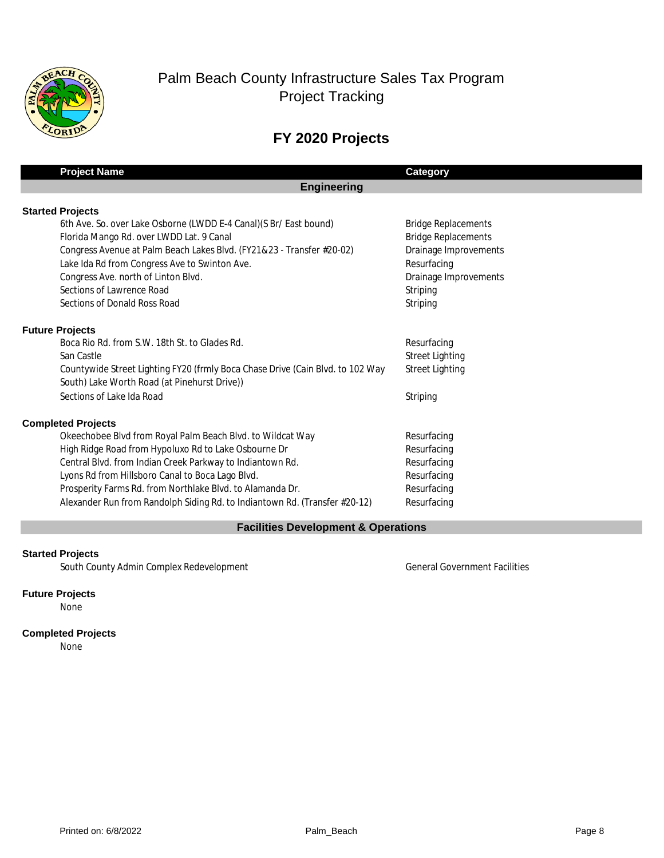

# **FY 2020 Projects**

| <b>Project Name</b>                                                            | <b>Category</b>            |
|--------------------------------------------------------------------------------|----------------------------|
| <b>Engineering</b>                                                             |                            |
| <b>Started Projects</b>                                                        |                            |
| 6th Ave. So. over Lake Osborne (LWDD E-4 Canal) (S Br/ East bound)             | <b>Bridge Replacements</b> |
| Florida Mango Rd. over LWDD Lat. 9 Canal                                       | <b>Bridge Replacements</b> |
| Congress Avenue at Palm Beach Lakes Blvd. (FY21&23 - Transfer #20-02)          | Drainage Improvements      |
| Lake Ida Rd from Congress Ave to Swinton Ave.                                  | Resurfacing                |
| Congress Ave. north of Linton Blvd.                                            | Drainage Improvements      |
| Sections of Lawrence Road                                                      | Striping                   |
| Sections of Donald Ross Road                                                   | Striping                   |
| <b>Future Projects</b>                                                         |                            |
| Boca Rio Rd. from S.W. 18th St. to Glades Rd.                                  | Resurfacing                |
| San Castle                                                                     | <b>Street Lighting</b>     |
| Countywide Street Lighting FY20 (frmly Boca Chase Drive (Cain Blvd. to 102 Way | <b>Street Lighting</b>     |
| South) Lake Worth Road (at Pinehurst Drive))                                   |                            |
| Sections of Lake Ida Road                                                      | Striping                   |
| <b>Completed Projects</b>                                                      |                            |
| Okeechobee Blvd from Royal Palm Beach Blvd. to Wildcat Way                     | Resurfacing                |
| High Ridge Road from Hypoluxo Rd to Lake Osbourne Dr                           | Resurfacing                |
| Central Blvd. from Indian Creek Parkway to Indiantown Rd.                      | Resurfacing                |
| Lyons Rd from Hillsboro Canal to Boca Lago Blvd.                               | Resurfacing                |
| Prosperity Farms Rd. from Northlake Blvd. to Alamanda Dr.                      | Resurfacing                |
| Alexander Run from Randolph Siding Rd. to Indiantown Rd. (Transfer #20-12)     | Resurfacing                |
|                                                                                |                            |

#### **Facilities Development & Operations**

## **Started Projects**

South County Admin Complex Redevelopment General Government Facilities

## **Future Projects**

None

## **Completed Projects**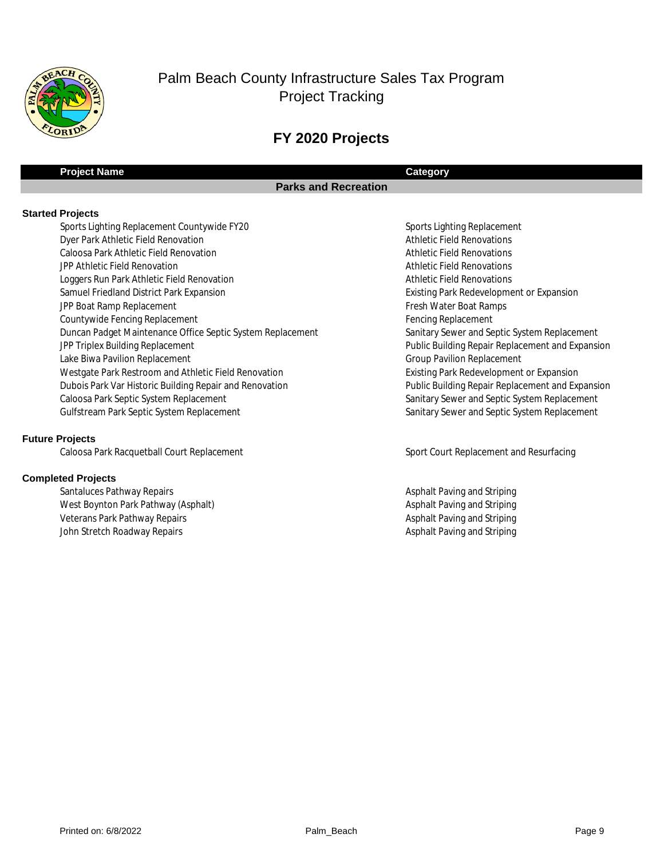

## **FY 2020 Projects**

## **Project Name Category**

## **Parks and Recreation**

#### **Started Projects**

Sports Lighting Replacement Countywide FY20 Sports Lighting Replacement Dyer Park Athletic Field Renovation **Athletic Field Renovations** Athletic Field Renovations Caloosa Park Athletic Field Renovation **Athletic Field Renovations** Athletic Field Renovations **The Athletic Field Renovation Athletic Field Renovations** Athletic Field Renovations Loggers Run Park Athletic Field Renovation **Athletic Field Renovations** Athletic Field Renovations Samuel Friedland District Park Expansion Existing Park Redevelopment or Expansion Existing Park Redevelopment or Expansion The Boat Ramp Replacement The State of the State of Test Water Boat Ramps and Test Archives and Test Archives Archives and Test Archives and Test Archives and Test Archives and Test Archives and Test Archives and Test Arch Countywide Fencing Replacement **Fencing Replacement** Fencing Replacement Duncan Padget Maintenance Office Septic System Replacement Sanitary Sewer and Septic System Replacement JPP Triplex Building Replacement **The Contract of Contract Public Building Repair Replacement and Expansion** Lake Biwa Pavilion Replacement **The Contract of Contract Contract Contract Contract Contract Contract Contract Contract Contract Contract Contract Contract Contract Contract Contract Contract Contract Contract Contract Con** Westgate Park Restroom and Athletic Field Renovation Existing Park Redevelopment or Expansion Dubois Park Var Historic Building Repair and Renovation **Public Building Repair Replacement and Expansion** Caloosa Park Septic System Replacement Sanitary Sewer and Septic System Replacement Gulfstream Park Septic System Replacement Sanitary Sewer and Septic System Replacement Sanitary Sewer and Septic System Replacement

#### **Future Projects**

Caloosa Park Racquetball Court Replacement Sport Court Replacement and Resurfacing

#### **Completed Projects**

Santaluces Pathway Repairs **Asphalt Paving and Striping Asphalt Paving and Striping** West Boynton Park Pathway (Asphalt) Asphalt Paving and Striping and Striping and Striping and Striping and Striping and Striping and Striping and Striping and Striping and Striping and Striping and Striping and Striping an Veterans Park Pathway Repairs **Asphalt Pathway Repairs Asphalt Paving and Striping** Asphalt Paving and Striping John Stretch Roadway Repairs **Asphalt Paving and Striping** Asphalt Paving and Striping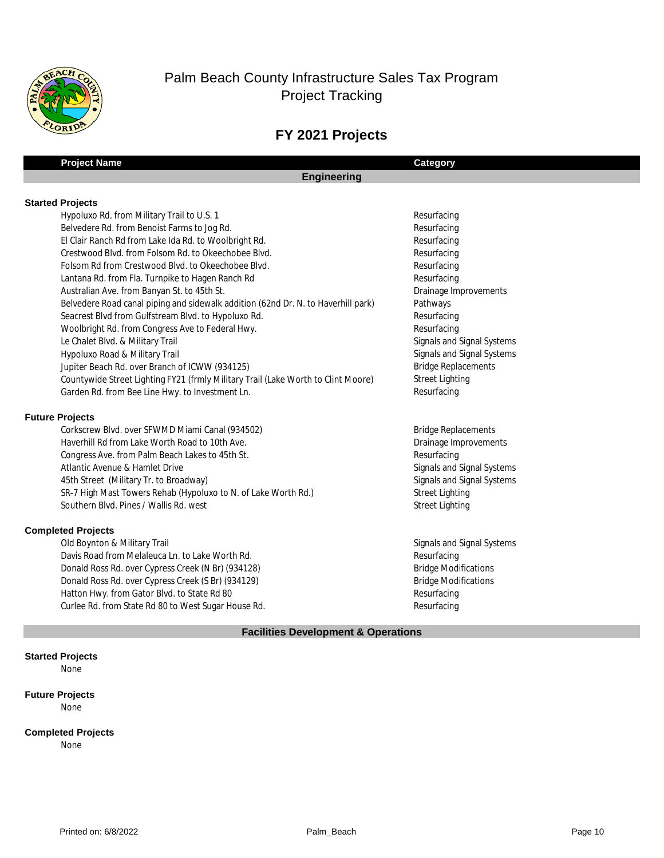

## **FY 2021 Projects**

| <b>Engineering</b> |  |
|--------------------|--|
|                    |  |
|                    |  |

|  | <b>Started Projects</b> |
|--|-------------------------|
|--|-------------------------|

| Hypoluxo Rd. from Military Trail to U.S. 1                                        | Resurfacing         |
|-----------------------------------------------------------------------------------|---------------------|
| Belvedere Rd. from Benoist Farms to Jog Rd.                                       | Resurfacing         |
| El Clair Ranch Rd from Lake Ida Rd. to Woolbright Rd.                             | Resurfacing         |
| Crestwood Blvd. from Folsom Rd. to Okeechobee Blvd.                               | Resurfacing         |
| Folsom Rd from Crestwood Blvd. to Okeechobee Blvd.                                | Resurfacing         |
| Lantana Rd. from Fla. Turnpike to Hagen Ranch Rd                                  | Resurfacing         |
| Australian Ave. from Banyan St. to 45th St.                                       | Drainage In         |
| Belvedere Road canal piping and sidewalk addition (62nd Dr. N. to Haverhill park) | Pathways            |
| Seacrest Blvd from Gulfstream Blvd. to Hypoluxo Rd.                               | Resurfacing         |
| Woolbright Rd. from Congress Ave to Federal Hwy.                                  | Resurfacing         |
| Le Chalet Blvd. & Military Trail                                                  | Signals and         |
| Hypoluxo Road & Military Trail                                                    | Signals and         |
| Jupiter Beach Rd. over Branch of ICWW (934125)                                    | <b>Bridge Repl</b>  |
| Countywide Street Lighting FY21 (frmly Military Trail (Lake Worth to Clint Moore) | <b>Street Light</b> |
| Garden Rd. from Bee Line Hwy. to Investment Ln.                                   | Resurfacing         |

**Project Name Category**

#### **Future Projects**

 Bridge Replacements Corkscrew Blvd. over SFWMD Miami Canal (934502) Drainage Improvements Haverhill Rd from Lake Worth Road to 10th Ave. Resurfacing Congress Ave. from Palm Beach Lakes to 45th St. Signals and Signal Systems Atlantic Avenue & Hamlet Drive Signals and Signal Systems 45th Street (Military Tr. to Broadway) SR-7 High Mast Towers Rehab (Hypoluxo to N. of Lake Worth Rd.) Street Lighting Street Lighting Southern Blvd. Pines / Wallis Rd. west

#### **Completed Projects**

 Signals and Signal Systems Old Boynton & Military Trail Resurfacing Davis Road from Melaleuca Ln. to Lake Worth Rd. Bridge Modifications Donald Ross Rd. over Cypress Creek (N Br) (934128) Bridge Modifications Donald Ross Rd. over Cypress Creek (S Br) (934129) Resurfacing Hatton Hwy. from Gator Blvd. to State Rd 80 Resurfacing Curlee Rd. from State Rd 80 to West Sugar House Rd.

# Orainage Improvements ignals and Signal Systems ignals and Signal Systems Bridge Replacements Street Lighting

#### **Facilities Development & Operations**

#### **Started Projects**

None

#### **Future Projects**

None

#### **Completed Projects**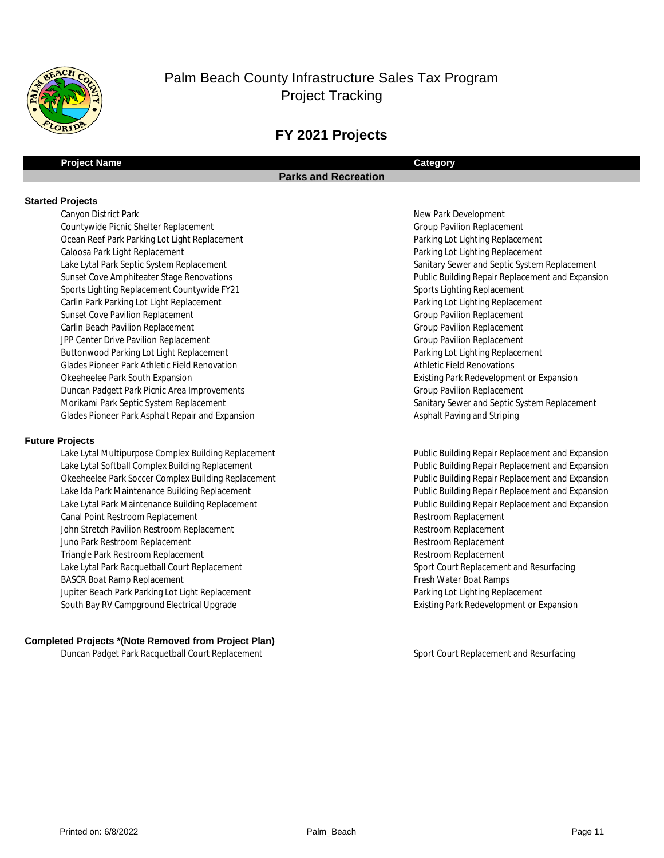

## **FY 2021 Projects**

#### **Project Name Category**

#### **Parks and Recreation**

#### **Started Projects**

Canyon District Park New Park Development T132 Group Pavilion Replacement Countywide Picnic Shelter Replacement T142 Parking Lot Lighting Replacement Ocean Reef Park Parking Lot Light Replacement T011 Sports Lighting Replacement Sports Lighting Replacement Countywide FY21 T145 Parking Lot Lighting Replacement Carlin Park Parking Lot Light Replacement T146 Group Pavilion Replacement Sunset Cove Pavilion Replacement T147 Group Pavilion Replacement Carlin Beach Pavilion Replacement T148 Group Pavilion Replacement JPP Center Drive Pavilion Replacement T153 Parking Lot Lighting Replacement Buttonwood Parking Lot Light Replacement Glades Pioneer Park Athletic Field Renovation **Athletic Field Renovations** Athletic Field Renovations **T200 Duncan Padgett Park Picnic Area Improvements Group Pavilion Replacement Group Pavilion Replacement** Glades Pioneer Park Asphalt Repair and Expansion Asphalt Paving and Striping and Striping Lake Lytal Park Septic System Replacement Okeeheelee Park South Expansion Caloosa Park Light Replacement Morikami Park Septic System Replacement

#### **Future Projects**

Lake Lytal Multipurpose Complex Building Replacement the complex of the complex of the pair Replacement and Expansion Okeeheelee Park Soccer Complex Building Replacement the state of the state of the Public Building Repair Replacement and Expansion T131 Public Building Repair Replacement and Expansion Lake Lytal Park Maintenance Building Replacement T135 Restroom Replacement Canal Point Restroom Replacement T136 Restroom Replacement John Stretch Pavilion Restroom Replacement T137 Restroom Replacement Juno Park Restroom Replacement T138 Restroom Replacement Triangle Park Restroom Replacement Lake Lytal Park Racquetball Court Replacement with the surfacing state of the Sport Court Replacement and Resurfacing T140 Fresh Water Boat Ramps BASCR Boat Ramp Replacement T141 Parking Lot Lighting Replacement Jupiter Beach Park Parking Lot Light Replacement T143 Existing Park Redevelopment or Expansion South Bay RV Campground Electrical Upgrade Lake Ida Park Maintenance Building Replacement Lake Lytal Softball Complex Building Replacement

#### **Completed Projects \*(Note Removed from Project Plan)**

T150 Sport Court Replacement and Resurfacing Duncan Padget Park Racquetball Court Replacement

Parking Lot Lighting Replacement Sanitary Sewer and Septic System Replacement Sunset Cove Amphiteater Stage Renovations **Public Building Repair Replacement and Expansion** Existing Park Redevelopment or Expansion Sanitary Sewer and Septic System Replacement

> Public Building Repair Replacement and Expansion Public Building Repair Replacement and Expansion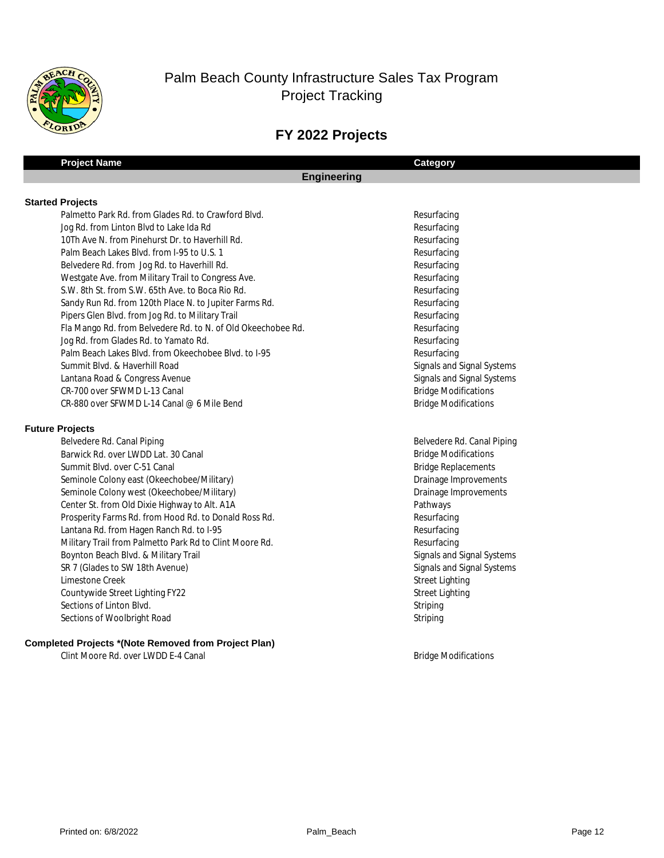

# **FY 2022 Projects**

| <b>Project Name</b>                                          | Category                    |  |
|--------------------------------------------------------------|-----------------------------|--|
| <b>Engineering</b>                                           |                             |  |
|                                                              |                             |  |
| <b>Started Projects</b>                                      |                             |  |
| Palmetto Park Rd. from Glades Rd. to Crawford Blvd.          | Resurfacing                 |  |
| Jog Rd. from Linton Blvd to Lake Ida Rd                      | Resurfacing                 |  |
| 10Th Ave N. from Pinehurst Dr. to Haverhill Rd.              | Resurfacing                 |  |
| Palm Beach Lakes Blvd. from I-95 to U.S. 1                   | Resurfacing                 |  |
| Belvedere Rd. from Jog Rd. to Haverhill Rd.                  | Resurfacing                 |  |
| Westgate Ave. from Military Trail to Congress Ave.           | Resurfacing                 |  |
| S.W. 8th St. from S.W. 65th Ave. to Boca Rio Rd.             | Resurfacing                 |  |
| Sandy Run Rd. from 120th Place N. to Jupiter Farms Rd.       | Resurfacing                 |  |
| Pipers Glen Blvd. from Jog Rd. to Military Trail             | Resurfacing                 |  |
| Fla Mango Rd. from Belvedere Rd. to N. of Old Okeechobee Rd. | Resurfacing                 |  |
| Jog Rd. from Glades Rd. to Yamato Rd.                        | Resurfacing                 |  |
| Palm Beach Lakes Blvd. from Okeechobee Blvd. to I-95         | Resurfacing                 |  |
| Summit Blvd. & Haverhill Road                                | Signals and Signal Systems  |  |
| Lantana Road & Congress Avenue                               | Signals and Signal Systems  |  |
| CR-700 over SFWMD L-13 Canal                                 | <b>Bridge Modifications</b> |  |
| CR-880 over SFWMD L-14 Canal @ 6 Mile Bend                   | <b>Bridge Modifications</b> |  |
| <b>Future Projects</b>                                       |                             |  |
| Belvedere Rd. Canal Piping                                   | Belvedere Rd. Canal Piping  |  |
| Barwick Rd. over LWDD Lat. 30 Canal                          | <b>Bridge Modifications</b> |  |
| Summit Blvd. over C-51 Canal                                 | <b>Bridge Replacements</b>  |  |
| Seminole Colony east (Okeechobee/Military)                   | Drainage Improvements       |  |
| Seminole Colony west (Okeechobee/Military)                   | Drainage Improvements       |  |
| Center St. from Old Dixie Highway to Alt. A1A                | Pathways                    |  |
| Prosperity Farms Rd. from Hood Rd. to Donald Ross Rd.        | Resurfacing                 |  |
| Lantana Rd. from Hagen Ranch Rd. to I-95                     | Resurfacing                 |  |
| Military Trail from Palmetto Park Rd to Clint Moore Rd.      | Resurfacing                 |  |
| Boynton Beach Blvd. & Military Trail                         | Signals and Signal Systems  |  |
| SR 7 (Glades to SW 18th Avenue)                              | Signals and Signal Systems  |  |
| Limestone Creek                                              | <b>Street Lighting</b>      |  |
| Countywide Street Lighting FY22                              | <b>Street Lighting</b>      |  |
| Sections of Linton Blvd.                                     | Striping                    |  |
| Sections of Woolbright Road                                  | Striping                    |  |
| <b>Completed Projects *(Note Removed from Project Plan)</b>  |                             |  |

Clint Moore Rd. over LWDD E-4 Canal and Bridge Modifications by Bridge Modifications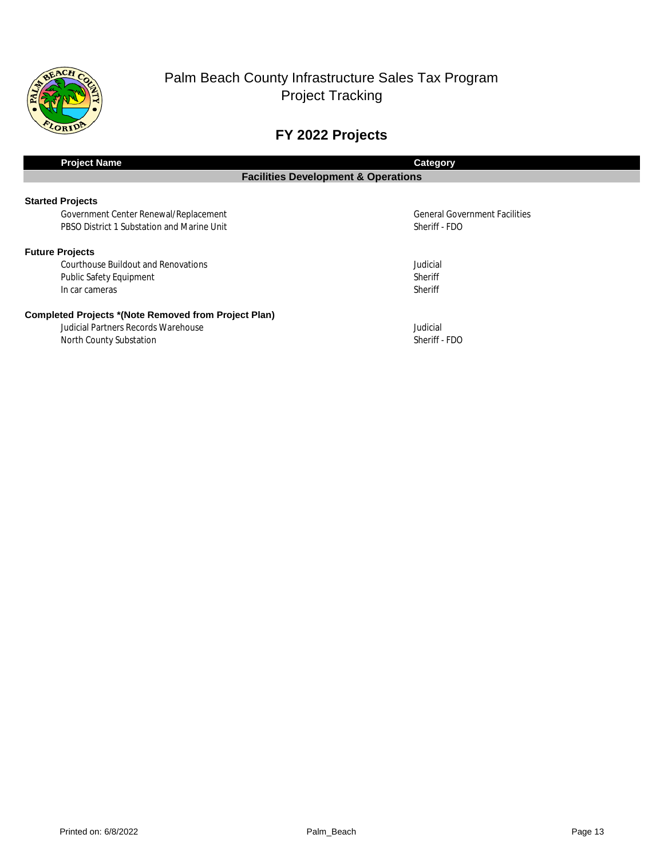

# **FY 2022 Projects**

| <b>Project Name</b>                                         | <b>Category</b>                      |  |  |  |
|-------------------------------------------------------------|--------------------------------------|--|--|--|
| <b>Facilities Development &amp; Operations</b>              |                                      |  |  |  |
|                                                             |                                      |  |  |  |
| <b>Started Projects</b>                                     |                                      |  |  |  |
| Government Center Renewal/Replacement                       | <b>General Government Facilities</b> |  |  |  |
| PBSO District 1 Substation and Marine Unit                  | Sheriff - FDO                        |  |  |  |
| <b>Future Projects</b>                                      |                                      |  |  |  |
| Courthouse Buildout and Renovations                         | Judicial                             |  |  |  |
| <b>Public Safety Equipment</b>                              | <b>Sheriff</b>                       |  |  |  |
| In car cameras                                              | Sheriff                              |  |  |  |
| <b>Completed Projects *(Note Removed from Project Plan)</b> |                                      |  |  |  |
| Judicial Partners Records Warehouse                         | Judicial                             |  |  |  |
| North County Substation                                     | Sheriff - FDO                        |  |  |  |